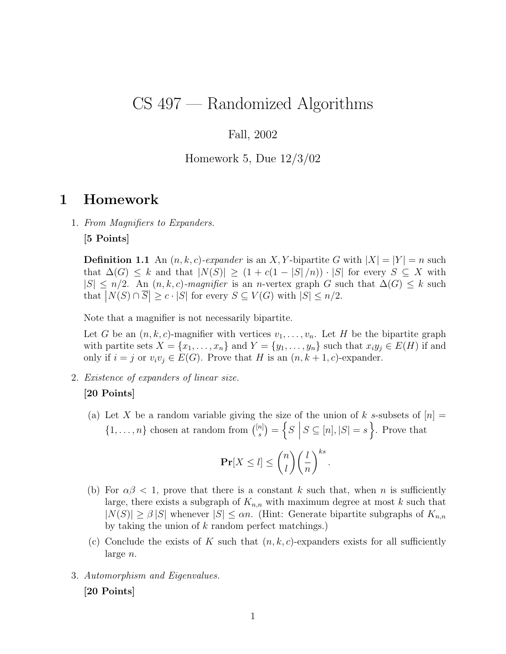# CS 497 — Randomized Algorithms

## Fall, 2002

### Homework 5, Due 12/3/02

# 1 Homework

1. From Magnifiers to Expanders.

[5 Points]

**Definition 1.1** An  $(n, k, c)$ -expander is an X, Y-bipartite G with  $|X| = |Y| = n$  such that  $\Delta(G) \leq k$  and that  $|N(S)| \geq (1 + c(1 - |S|/n)) \cdot |S|$  for every  $S \subseteq X$  with  $|S| \leq n/2$ . An  $(n, k, c)$ -magnifier is an n-vertex graph G such that  $\Delta(G) \leq k$  such that  $|N(S) \cap \overline{S}| \geq c \cdot |S|$  for every  $S \subseteq V(G)$  with  $|S| \leq n/2$ .

Note that a magnifier is not necessarily bipartite.

Let G be an  $(n, k, c)$ -magnifier with vertices  $v_1, \ldots, v_n$ . Let H be the bipartite graph with partite sets  $X = \{x_1, \ldots, x_n\}$  and  $Y = \{y_1, \ldots, y_n\}$  such that  $x_i y_j \in E(H)$  if and only if  $i = j$  or  $v_i v_j \in E(G)$ . Prove that H is an  $(n, k + 1, c)$ -expander.

2. Existence of expanders of linear size.

### [20 Points]

(a) Let X be a random variable giving the size of the union of k s-subsets of  $[n] =$  $\{1,\ldots,n\}$  chosen at random from  $\binom{[n]}{s}$  $s^{[n]}$  =  $\Big\{S\ \Big\vert$  $S \subseteq [n], |S| = s$ . Prove that

$$
\mathbf{Pr}[X \le l] \le \binom{n}{l} \left(\frac{l}{n}\right)^{ks}.
$$

- (b) For  $\alpha\beta$  < 1, prove that there is a constant k such that, when n is sufficiently large, there exists a subgraph of  $K_{n,n}$  with maximum degree at most k such that  $|N(S)| \geq \beta |S|$  whenever  $|S| \leq \alpha n$ . (Hint: Generate bipartite subgraphs of  $K_{n,n}$ by taking the union of  $k$  random perfect matchings.)
- (c) Conclude the exists of K such that  $(n, k, c)$ -expanders exists for all sufficiently large n.
- 3. Automorphism and Eigenvalues.

[20 Points]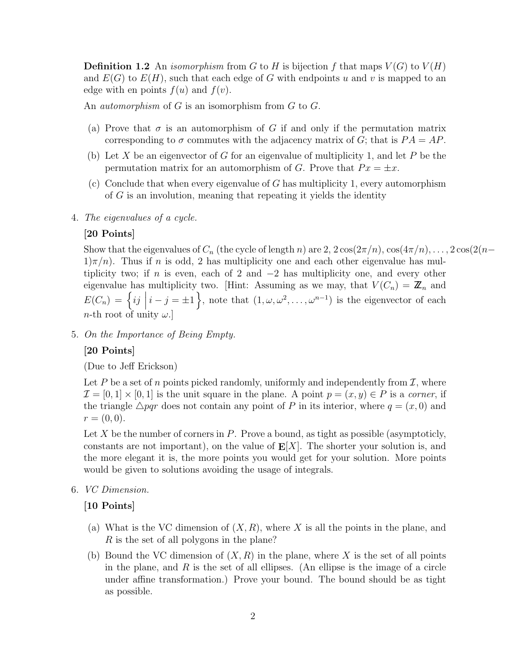**Definition 1.2** An *isomorphism* from G to H is bijection f that maps  $V(G)$  to  $V(H)$ and  $E(G)$  to  $E(H)$ , such that each edge of G with endpoints u and v is mapped to an edge with en points  $f(u)$  and  $f(v)$ .

An *automorphism* of G is an isomorphism from G to G.

- (a) Prove that  $\sigma$  is an automorphism of G if and only if the permutation matrix corresponding to  $\sigma$  commutes with the adjacency matrix of G; that is  $PA = AP$ .
- (b) Let X be an eigenvector of G for an eigenvalue of multiplicity 1, and let P be the permutation matrix for an automorphism of G. Prove that  $Px = \pm x$ .
- (c) Conclude that when every eigenvalue of  $G$  has multiplicity 1, every automorphism of G is an involution, meaning that repeating it yields the identity
- 4. The eigenvalues of a cycle.

#### [20 Points]

Show that the eigenvalues of  $C_n$  (the cycle of length n) are  $2, 2\cos(2\pi/n), \cos(4\pi/n), \ldots, 2\cos(2(n-1))$  $1\pi/n$ ). Thus if n is odd, 2 has multiplicity one and each other eigenvalue has multiplicity two; if n is even, each of 2 and  $-2$  has multiplicity one, and every other eigenvalue has multiplicity two. [Hint: Assuming as we may, that  $V(C_n) = \mathbb{Z}_n$  and  $E(C_n) = \left\{ ij \mid$  $i - j = \pm 1$ , note that  $(1, \omega, \omega^2, \dots, \omega^{n-1})$  is the eigenvector of each n-th root of unity  $\omega$ .]

5. On the Importance of Being Empty.

#### [20 Points]

(Due to Jeff Erickson)

Let P be a set of n points picked randomly, uniformly and independently from  $\mathcal{I}$ , where  $\mathcal{I} = [0,1] \times [0,1]$  is the unit square in the plane. A point  $p = (x, y) \in P$  is a corner, if the triangle  $\triangle pqr$  does not contain any point of P in its interior, where  $q = (x, 0)$  and  $r = (0, 0).$ 

Let X be the number of corners in  $P$ . Prove a bound, as tight as possible (asymptoticly, constants are not important), on the value of  $E[X]$ . The shorter your solution is, and the more elegant it is, the more points you would get for your solution. More points would be given to solutions avoiding the usage of integrals.

6. VC Dimension.

#### [10 Points]

- (a) What is the VC dimension of  $(X, R)$ , where X is all the points in the plane, and R is the set of all polygons in the plane?
- (b) Bound the VC dimension of  $(X, R)$  in the plane, where X is the set of all points in the plane, and  $R$  is the set of all ellipses. (An ellipse is the image of a circle under affine transformation.) Prove your bound. The bound should be as tight as possible.